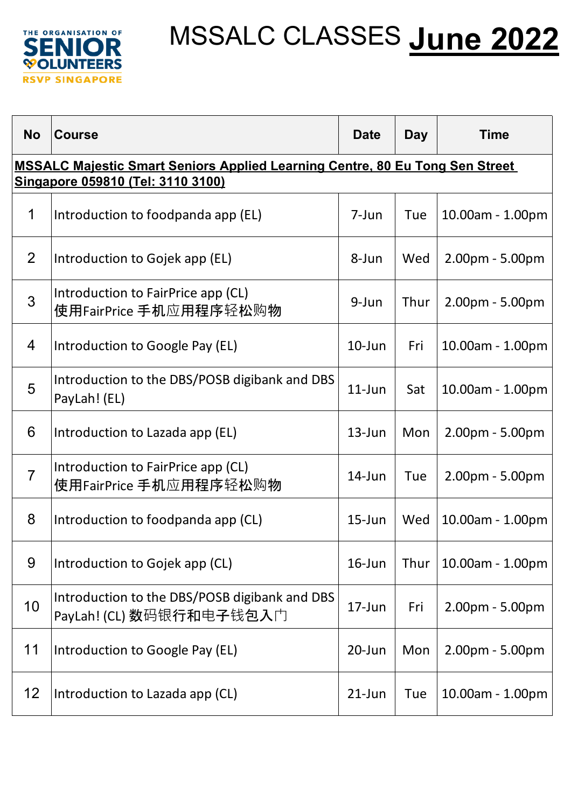

| <b>No</b>                                                                                                                | <b>Course</b>                                                             | <b>Date</b> | <b>Day</b> | <b>Time</b>       |  |  |
|--------------------------------------------------------------------------------------------------------------------------|---------------------------------------------------------------------------|-------------|------------|-------------------|--|--|
| <b>MSSALC Majestic Smart Seniors Applied Learning Centre, 80 Eu Tong Sen Street</b><br>Singapore 059810 (Tel: 3110 3100) |                                                                           |             |            |                   |  |  |
| 1                                                                                                                        | Introduction to foodpanda app (EL)                                        | 7-Jun       | Tue        | 10.00am - 1.00pm  |  |  |
| 2                                                                                                                        | Introduction to Gojek app (EL)                                            | 8-Jun       | Wed        | $2.00pm - 5.00pm$ |  |  |
| 3                                                                                                                        | Introduction to FairPrice app (CL)<br>使用FairPrice 手机应用程序轻松购物              | 9-Jun       | Thur       | 2.00pm - 5.00pm   |  |  |
| 4                                                                                                                        | Introduction to Google Pay (EL)                                           | $10$ -Jun   | Fri        | 10.00am - 1.00pm  |  |  |
| 5                                                                                                                        | Introduction to the DBS/POSB digibank and DBS<br>PayLah! (EL)             | $11$ -Jun   | Sat        | 10.00am - 1.00pm  |  |  |
| 6                                                                                                                        | Introduction to Lazada app (EL)                                           | $13$ -Jun   | Mon        | $2.00pm - 5.00pm$ |  |  |
| $\overline{7}$                                                                                                           | Introduction to FairPrice app (CL)<br>使用FairPrice 手机应用程序轻松购物              | $14$ -Jun   | Tue        | $2.00pm - 5.00pm$ |  |  |
| 8                                                                                                                        | Introduction to foodpanda app (CL)                                        | $15$ -Jun   | Wed        | 10.00am - 1.00pm  |  |  |
| 9                                                                                                                        | Introduction to Gojek app (CL)                                            | $16$ -Jun   | Thur       | 10.00am - 1.00pm  |  |  |
| 10                                                                                                                       | Introduction to the DBS/POSB digibank and DBS<br>PayLah! (CL) 数码银行和电子钱包入门 | $17 - Jun$  | Fri        | 2.00pm - 5.00pm   |  |  |
| 11                                                                                                                       | Introduction to Google Pay (EL)                                           | 20-Jun      | Mon        | 2.00pm - 5.00pm   |  |  |
| $12 \overline{ }$                                                                                                        | Introduction to Lazada app (CL)                                           | $21$ -Jun   | Tue        | 10.00am - 1.00pm  |  |  |